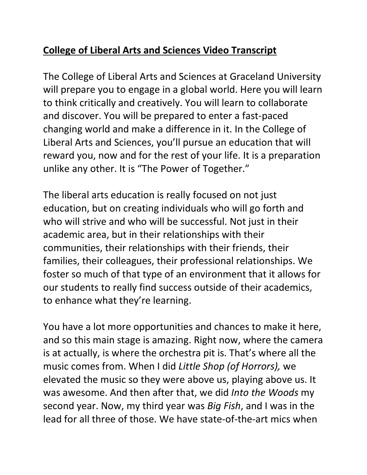## **College of Liberal Arts and Sciences Video Transcript**

The College of Liberal Arts and Sciences at Graceland University will prepare you to engage in a global world. Here you will learn to think critically and creatively. You will learn to collaborate and discover. You will be prepared to enter a fast-paced changing world and make a difference in it. In the College of Liberal Arts and Sciences, you'll pursue an education that will reward you, now and for the rest of your life. It is a preparation unlike any other. It is "The Power of Together."

The liberal arts education is really focused on not just education, but on creating individuals who will go forth and who will strive and who will be successful. Not just in their academic area, but in their relationships with their communities, their relationships with their friends, their families, their colleagues, their professional relationships. We foster so much of that type of an environment that it allows for our students to really find success outside of their academics, to enhance what they're learning.

You have a lot more opportunities and chances to make it here, and so this main stage is amazing. Right now, where the camera is at actually, is where the orchestra pit is. That's where all the music comes from. When I did *Little Shop (of Horrors),* we elevated the music so they were above us, playing above us. It was awesome. And then after that, we did *Into the Woods* my second year. Now, my third year was *Big Fish*, and I was in the lead for all three of those. We have state-of-the-art mics when